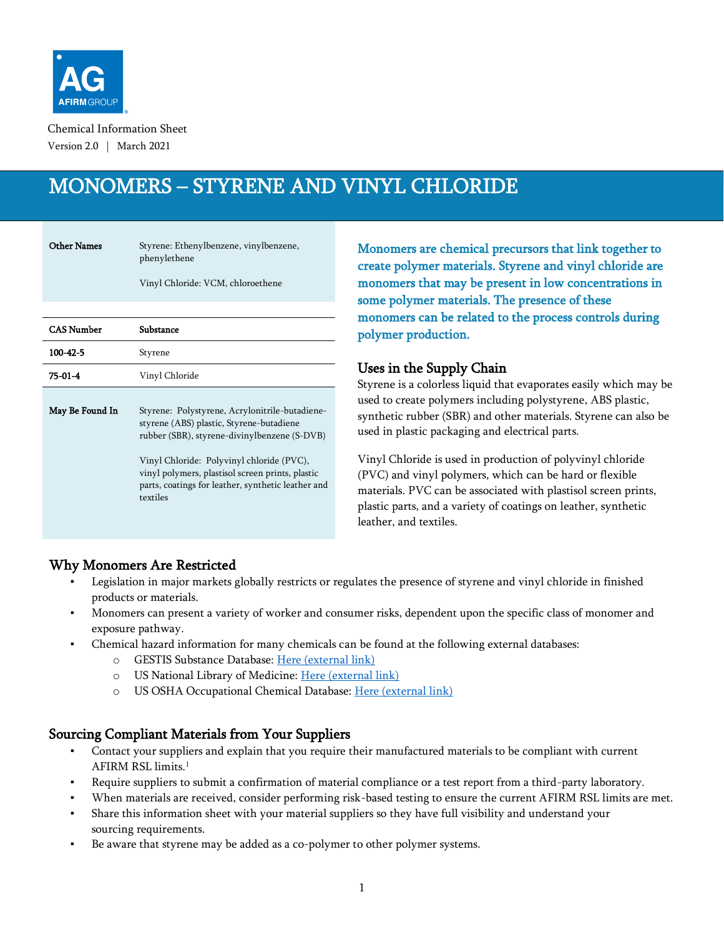

Chemical Information Sheet Version 2.0 | March 2021

# MONOMERS – STYRENE AND VINYL CHLORIDE

Other Names Styrene: Ethenylbenzene, vinylbenzene, phenylethene

Vinyl Chloride: VCM, chloroethene

| <b>CAS Number</b> | Substance                                                                                                                                                                                                                                                                                                     |
|-------------------|---------------------------------------------------------------------------------------------------------------------------------------------------------------------------------------------------------------------------------------------------------------------------------------------------------------|
| $100 - 42 - 5$    | Styrene                                                                                                                                                                                                                                                                                                       |
| 75-01-4           | Vinyl Chloride                                                                                                                                                                                                                                                                                                |
| May Be Found In   | Styrene: Polystyrene, Acrylonitrile-butadiene-<br>styrene (ABS) plastic, Styrene-butadiene<br>rubber (SBR), styrene-divinylbenzene (S-DVB)<br>Vinyl Chloride: Polyvinyl chloride (PVC),<br>vinyl polymers, plastisol screen prints, plastic<br>parts, coatings for leather, synthetic leather and<br>textiles |
|                   |                                                                                                                                                                                                                                                                                                               |

Monomers are chemical precursors that link together to create polymer materials. Styrene and vinyl chloride are monomers that may be present in low concentrations in some polymer materials. The presence of these monomers can be related to the process controls during polymer production.

### Uses in the Supply Chain

Styrene is a colorless liquid that evaporates easily which may be used to create polymers including polystyrene, ABS plastic, synthetic rubber (SBR) and other materials. Styrene can also be used in plastic packaging and electrical parts.

Vinyl Chloride is used in production of polyvinyl chloride (PVC) and vinyl polymers, which can be hard or flexible materials. PVC can be associated with plastisol screen prints, plastic parts, and a variety of coatings on leather, synthetic leather, and textiles.

## Why Monomers Are Restricted

- Legislation in major markets globally restricts or regulates the presence of styrene and vinyl chloride in finished products or materials.
- Monomers can present a variety of worker and consumer risks, dependent upon the specific class of monomer and exposure pathway.
- Chemical hazard information for many chemicals can be found at the following external databases:
	- o GESTIS Substance Database: [Here \(external link\)](https://gestis-database.dguv.de/search)
	- o US National Library of Medicine: [Here \(external link\)](https://pubchem.ncbi.nlm.nih.gov/)
	- o US OSHA Occupational Chemical Database: [Here \(external link\)](https://www.osha.gov/chemicaldata/index.html)

## Sourcing Compliant Materials from Your Suppliers

- Contact your suppliers and explain that you require their manufactured materials to be compliant with current AFIRM RSL limits. 1
- Require suppliers to submit a confirmation of material compliance or a test report from a third-party laboratory.
- When materials are received, consider performing risk-based testing to ensure the current AFIRM RSL limits are met.
- Share this information sheet with your material suppliers so they have full visibility and understand your sourcing requirements.
- Be aware that styrene may be added as a co-polymer to other polymer systems.